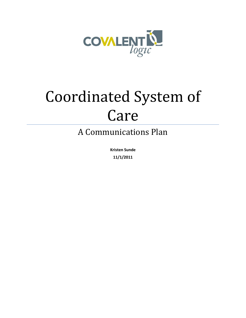

# Coordinated System of Care

A Communications Plan

**Kristen Sunde 11/1/2011**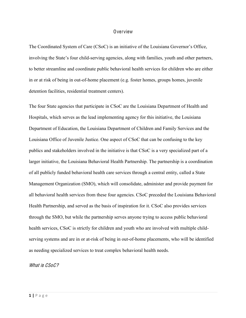#### Overview

The Coordinated System of Care (CSoC) is an initiative of the Louisiana Governor's Office, involving the State's four child-serving agencies, along with families, youth and other partners, to better streamline and coordinate public behavioral health services for children who are either in or at risk of being in out-of-home placement (e.g. foster homes, groups homes, juvenile detention facilities, residential treatment centers).

The four State agencies that participate in CSoC are the Louisiana Department of Health and Hospitals, which serves as the lead implementing agency for this initiative, the Louisiana Department of Education, the Louisiana Department of Children and Family Services and the Louisiana Office of Juvenile Justice. One aspect of CSoC that can be confusing to the key publics and stakeholders involved in the initiative is that CSoC is a very specialized part of a larger initiative, the Louisiana Behavioral Health Partnership. The partnership is a coordination of all publicly funded behavioral health care services through a central entity, called a State Management Organization (SMO), which will consolidate, administer and provide payment for all behavioral health services from these four agencies. CSoC preceded the Louisiana Behavioral Health Partnership, and served as the basis of inspiration for it. CSoC also provides services through the SMO, but while the partnership serves anyone trying to access public behavioral health services, CSoC is strictly for children and youth who are involved with multiple childserving systems and are in or at-risk of being in out-of-home placements, who will be identified as needing specialized services to treat complex behavioral health needs.

What is CSoC?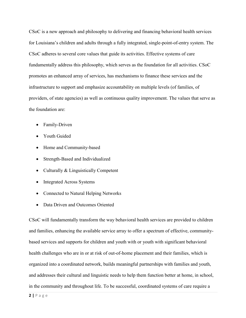CSoC is a new approach and philosophy to delivering and financing behavioral health services for Louisiana's children and adults through a fully integrated, single-point-of-entry system. The CSoC adheres to several core values that guide its activities. Effective systems of care fundamentally address this philosophy, which serves as the foundation for all activities. CSoC promotes an enhanced array of services, has mechanisms to finance these services and the infrastructure to support and emphasize accountability on multiple levels (of families, of providers, of state agencies) as well as continuous quality improvement. The values that serve as the foundation are:

- Family-Driven
- Youth Guided
- Home and Community-based
- Strength-Based and Individualized
- Culturally  $& Linguistically$  Competent
- Integrated Across Systems
- Connected to Natural Helping Networks
- Data Driven and Outcomes Oriented

CSoC will fundamentally transform the way behavioral health services are provided to children and families, enhancing the available service array to offer a spectrum of effective, communitybased services and supports for children and youth with or youth with significant behavioral health challenges who are in or at risk of out-of-home placement and their families, which is organized into a coordinated network, builds meaningful partnerships with families and youth, and addresses their cultural and linguistic needs to help them function better at home, in school, in the community and throughout life. To be successful, coordinated systems of care require a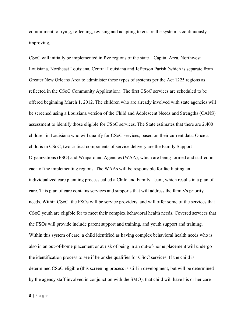commitment to trying, reflecting, revising and adapting to ensure the system is continuously improving.

 $CSoC$  will initially be implemented in five regions of the state  $-Capital$  Area, Northwest Louisiana, Northeast Louisiana, Central Louisiana and Jefferson Parish (which is separate from Greater New Orleans Area to administer these types of systems per the Act 1225 regions as reflected in the CSoC Community Application). The first CSoC services are scheduled to be offered beginning March 1, 2012. The children who are already involved with state agencies will be screened using a Louisiana version of the Child and Adolescent Needs and Strengths (CANS) assessment to identify those eligible for CSoC services. The State estimates that there are 2,400 children in Louisiana who will qualify for CSoC services, based on their current data. Once a child is in CSoC, two critical components of service delivery are the Family Support Organizations (FSO) and Wraparound Agencies (WAA), which are being formed and staffed in each of the implementing regions. The WAAs will be responsible for facilitating an individualized care planning process called a Child and Family Team, which results in a plan of care. This plan of care contains services and supports that will address the family's priority needs. Within CSoC, the FSOs will be service providers, and will offer some of the services that CSoC youth are eligible for to meet their complex behavioral health needs. Covered services that the FSOs will provide include parent support and training, and youth support and training. Within this system of care, a child identified as having complex behavioral health needs who is also in an out-of-home placement or at risk of being in an out-of-home placement will undergo the identification process to see if he or she qualifies for CSoC services. If the child is determined CSoC eligible (this screening process is still in development, but will be determined by the agency staff involved in conjunction with the SMO), that child will have his or her care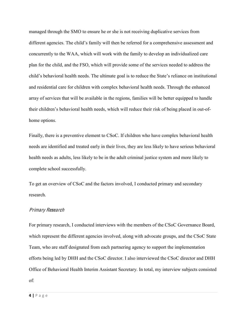managed through the SMO to ensure he or she is not receiving duplicative services from different agencies. The child's family will then be referred for a comprehensive assessment and concurrently to the WAA, which will work with the family to develop an individualized care plan for the child, and the FSO, which will provide some of the services needed to address the child's behavioral health needs. The ultimate goal is to reduce the State's reliance on institutional and residential care for children with complex behavioral health needs. Through the enhanced array of services that will be available in the regions, families will be better equipped to handle their children's behavioral health needs, which will reduce their risk of being placed in out-ofhome options.

Finally, there is a preventive element to CSoC. If children who have complex behavioral health needs are identified and treated early in their lives, they are less likely to have serious behavioral health needs as adults, less likely to be in the adult criminal justice system and more likely to complete school successfully.

To get an overview of CSoC and the factors involved, I conducted primary and secondary research.

### Primary Research

For primary research, I conducted interviews with the members of the CSoC Governance Board, which represent the different agencies involved, along with advocate groups, and the CSoC State Team, who are staff designated from each partnering agency to support the implementation efforts being led by DHH and the CSoC director. I also interviewed the CSoC director and DHH Office of Behavioral Health Interim Assistant Secretary. In total, my interview subjects consisted of: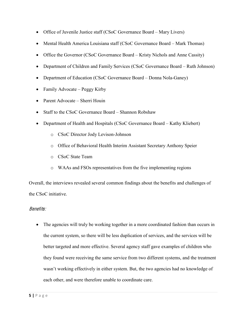- Office of Juvenile Justice staff (CSoC Governance Board  $-$  Mary Livers)
- Mental Health America Louisiana staff (CSoC Governance Board  $-$  Mark Thomas)
- Office the Governor (CSoC Governance Board  $-$  Kristy Nichols and Anne Cassity)
- Department of Children and Family Services (CSoC Governance Board Ruth Johnson)
- Department of Education (CSoC Governance Board Donna Nola-Ganey)
- Family Advocate  $-\text{Peggy Kirby}$
- Parent Advocate Sherri Houin
- Staff to the CSoC Governance Board  $-$  Shannon Robshaw
- Department of Health and Hospitals (CSoC Governance Board  $-$  Kathy Kliebert)
	- o CSoC Director Jody Levison-Johnson
	- o Office of Behavioral Health Interim Assistant Secretary Anthony Speier
	- o CSoC State Team
	- o WAAs and FSOs representatives from the five implementing regions

Overall, the interviews revealed several common findings about the benefits and challenges of the CSoC initiative.

# Benefits:

• The agencies will truly be working together in a more coordinated fashion than occurs in the current system, so there will be less duplication of services, and the services will be better targeted and more effective. Several agency staff gave examples of children who they found were receiving the same service from two different systems, and the treatment wasn't working effectively in either system. But, the two agencies had no knowledge of each other, and were therefore unable to coordinate care.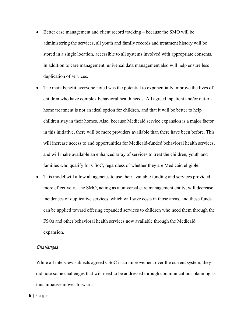- $\bullet$  Better case management and client record tracking  $-$  because the SMO will be administering the services, all youth and family records and treatment history will be stored in a single location, accessible to all systems involved with appropriate consents. In addition to care management, universal data management also will help ensure less duplication of services.
- The main benefit everyone noted was the potential to exponentially improve the lives of children who have complex behavioral health needs. All agreed inpatient and/or out-ofhome treatment is not an ideal option for children, and that it will be better to help children stay in their homes. Also, because Medicaid service expansion is a major factor in this initiative, there will be more providers available than there have been before. This will increase access to and opportunities for Medicaid-funded behavioral health services, and will make available an enhanced array of services to treat the children, youth and families who qualify for CSoC, regardless of whether they are Medicaid eligible.
- This model will allow all agencies to use their available funding and services provided more effectively. The SMO, acting as a universal care management entity, will decrease incidences of duplicative services, which will save costs in those areas, and these funds can be applied toward offering expanded services to children who need them through the FSOs and other behavioral health services now available through the Medicaid expansion.

## **Challenges**

While all interview subjects agreed CSoC is an improvement over the current system, they did note some challenges that will need to be addressed through communications planning as this initiative moves forward.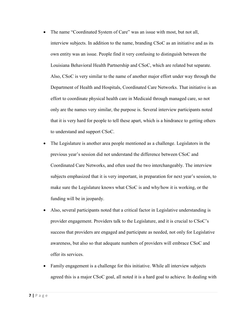- The name "Coordinated System of Care" was an issue with most, but not all, interview subjects. In addition to the name, branding CSoC as an initiative and as its own entity was an issue. People find it very confusing to distinguish between the Louisiana Behavioral Health Partnership and CSoC, which are related but separate. Also, CSoC is very similar to the name of another major effort under way through the Department of Health and Hospitals, Coordinated Care Networks. That initiative is an effort to coordinate physical health care in Medicaid through managed care, so not only are the names very similar, the purpose is. Several interview participants noted that it is very hard for people to tell these apart, which is a hindrance to getting others to understand and support CSoC.
- The Legislature is another area people mentioned as a challenge. Legislators in the previous year's session did not understand the difference between CSoC and Coordinated Care Networks, and often used the two interchangeably. The interview subjects emphasized that it is very important, in preparation for next year's session, to make sure the Legislature knows what CSoC is and why/how it is working, or the funding will be in jeopardy.
- Also, several participants noted that a critical factor in Legislative understanding is provider engagement. Providers talk to the Legislature, and it is crucial to  $CSoC's$ success that providers are engaged and participate as needed, not only for Legislative awareness, but also so that adequate numbers of providers will embrace CSoC and offer its services.
- Family engagement is a challenge for this initiative. While all interview subjects agreed this is a major CSoC goal, all noted it is a hard goal to achieve. In dealing with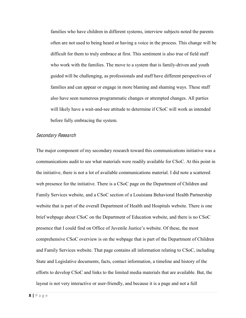families who have children in different systems, interview subjects noted the parents often are not used to being heard or having a voice in the process. This change will be difficult for them to truly embrace at first. This sentiment is also true of field staff who work with the families. The move to a system that is family-driven and youth guided will be challenging, as professionals and staff have different perspectives of families and can appear or engage in more blaming and shaming ways. These staff also have seen numerous programmatic changes or attempted changes. All parties will likely have a wait-and-see attitude to determine if CSoC will work as intended before fully embracing the system.

### Secondary Research

The major component of my secondary research toward this communications initiative was a communications audit to see what materials were readily available for CSoC. At this point in the initiative, there is not a lot of available communications material. I did note a scattered web presence for the initiative. There is a CSoC page on the Department of Children and Family Services website, and a CSoC section of a Louisiana Behavioral Health Partnership website that is part of the overall Department of Health and Hospitals website. There is one brief webpage about CSoC on the Department of Education website, and there is no CSoC presence that I could find on Office of Juvenile Justice's website. Of these, the most comprehensive CSoC overview is on the webpage that is part of the Department of Children and Family Services website. That page contains all information relating to CSoC, including State and Legislative documents, facts, contact information, a timeline and history of the efforts to develop CSoC and links to the limited media materials that are available. But, the layout is not very interactive or user-friendly, and because it is a page and not a full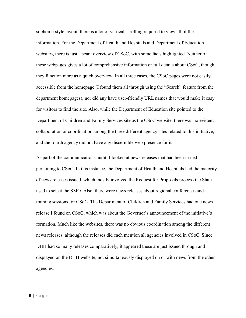subhome-style layout, there is a lot of vertical scrolling required to view all of the information. For the Department of Health and Hospitals and Department of Education websites, there is just a scant overview of CSoC, with some facts highlighted. Neither of these webpages gives a lot of comprehensive information or full details about CSoC, though; they function more as a quick overview. In all three cases, the CSoC pages were not easily accessible from the homepage (I found them all through using the "Search" feature from the department homepages), nor did any have user-friendly URL names that would make it easy for visitors to find the site. Also, while the Department of Education site pointed to the Department of Children and Family Services site as the CSoC website, there was no evident collaboration or coordination among the three different agency sites related to this initiative, and the fourth agency did not have any discernible web presence for it.

As part of the communications audit, I looked at news releases that had been issued pertaining to CSoC. In this instance, the Department of Health and Hospitals had the majority of news releases issued, which mostly involved the Request for Proposals process the State used to select the SMO. Also, there were news releases about regional conferences and training sessions for CSoC. The Department of Children and Family Services had one news release I found on CSoC, which was about the Governor's announcement of the initiative's formation. Much like the websites, there was no obvious coordination among the different news releases, although the releases did each mention all agencies involved in CSoC. Since DHH had so many releases comparatively, it appeared these are just issued through and displayed on the DHH website, not simultaneously displayed on or with news from the other agencies.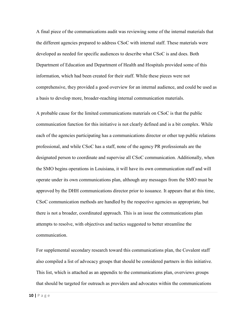A final piece of the communications audit was reviewing some of the internal materials that the different agencies prepared to address CSoC with internal staff. These materials were developed as needed for specific audiences to describe what CSoC is and does. Both Department of Education and Department of Health and Hospitals provided some of this information, which had been created for their staff. While these pieces were not comprehensive, they provided a good overview for an internal audience, and could be used as a basis to develop more, broader-reaching internal communication materials.

A probable cause for the limited communications materials on CSoC is that the public communication function for this initiative is not clearly defined and is a bit complex. While each of the agencies participating has a communications director or other top public relations professional, and while CSoC has a staff, none of the agency PR professionals are the designated person to coordinate and supervise all CSoC communication. Additionally, when the SMO begins operations in Louisiana, it will have its own communication staff and will operate under its own communications plan, although any messages from the SMO must be approved by the DHH communications director prior to issuance. It appears that at this time, CSoC communication methods are handled by the respective agencies as appropriate, but there is not a broader, coordinated approach. This is an issue the communications plan attempts to resolve, with objectives and tactics suggested to better streamline the communication.

For supplemental secondary research toward this communications plan, the Covalent staff also compiled a list of advocacy groups that should be considered partners in this initiative. This list, which is attached as an appendix to the communications plan, overviews groups that should be targeted for outreach as providers and advocates within the communications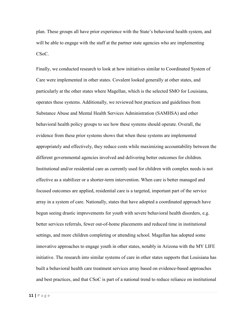plan. These groups all have prior experience with the State's behavioral health system, and will be able to engage with the staff at the partner state agencies who are implementing CS<sub>o</sub>C.

Finally, we conducted research to look at how initiatives similar to Coordinated System of Care were implemented in other states. Covalent looked generally at other states, and particularly at the other states where Magellan, which is the selected SMO for Louisiana, operates these systems. Additionally, we reviewed best practices and guidelines from Substance Abuse and Mental Health Services Administration (SAMHSA) and other behavioral health policy groups to see how these systems should operate. Overall, the evidence from these prior systems shows that when these systems are implemented appropriately and effectively, they reduce costs while maximizing accountability between the different governmental agencies involved and delivering better outcomes for children. Institutional and/or residential care as currently used for children with complex needs is not effective as a stabilizer or a shorter-term intervention. When care is better managed and focused outcomes are applied, residential care is a targeted, important part of the service array in a system of care. Nationally, states that have adopted a coordinated approach have begun seeing drastic improvements for youth with severe behavioral health disorders, e.g. better services referrals, fewer out-of-home placements and reduced time in institutional settings, and more children completing or attending school. Magellan has adopted some innovative approaches to engage youth in other states, notably in Arizona with the MY LIFE initiative. The research into similar systems of care in other states supports that Louisiana has built a behavioral health care treatment services array based on evidence-based approaches and best practices, and that CSoC is part of a national trend to reduce reliance on institutional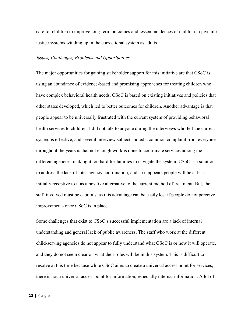care for children to improve long-term outcomes and lessen incidences of children in juvenile justice systems winding up in the correctional system as adults.

#### Issues, Challenges, Problem<sup>s</sup> and Opportunitie<sup>s</sup>

The major opportunities for gaining stakeholder support for this initiative are that CSoC is using an abundance of evidence-based and promising approaches for treating children who have complex behavioral health needs. CSoC is based on existing initiatives and policies that other states developed, which led to better outcomes for children. Another advantage is that people appear to be universally frustrated with the current system of providing behavioral health services to children. I did not talk to anyone during the interviews who felt the current system is effective, and several interview subjects noted a common complaint from everyone throughout the years is that not enough work is done to coordinate services among the different agencies, making it too hard for families to navigate the system. CSoC is a solution to address the lack of inter-agency coordination, and so it appears people will be at least initially receptive to it as a positive alternative to the current method of treatment. But, the staff involved must be cautious, as this advantage can be easily lost if people do not perceive improvements once CSoC is in place.

Some challenges that exist to CSoC's successful implementation are a lack of internal understanding and general lack of public awareness. The staff who work at the different child-serving agencies do not appear to fully understand what CSoC is or how it will operate, and they do not seem clear on what their roles will be in this system. This is difficult to resolve at this time because while CSoC aims to create a universal access point for services, there is not a universal access point for information, especially internal information. A lot of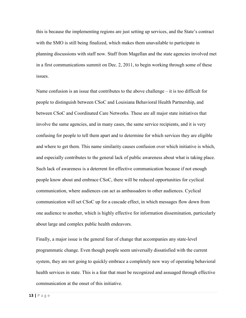this is because the implementing regions are just setting up services, and the State's contract with the SMO is still being finalized, which makes them unavailable to participate in planning discussions with staff now. Staff from Magellan and the state agencies involved met in a first communications summit on Dec. 2, 2011, to begin working through some of these issues.

Name confusion is an issue that contributes to the above challenge  $-\mathrm{i}t$  is too difficult for people to distinguish between CSoC and Louisiana Behavioral Health Partnership, and between CSoC and Coordinated Care Networks. These are all major state initiatives that involve the same agencies, and in many cases, the same service recipients, and it is very confusing for people to tell them apart and to determine for which services they are eligible and where to get them. This name similarity causes confusion over which initiative is which, and especially contributes to the general lack of public awareness about what is taking place. Such lack of awareness is a deterrent for effective communication because if not enough people know about and embrace CSoC, there will be reduced opportunities for cyclical communication, where audiences can act as ambassadors to other audiences. Cyclical communication will set CSoC up for a cascade effect, in which messages flow down from one audience to another, which is highly effective for information dissemination, particularly about large and complex public health endeavors.

Finally, a major issue is the general fear of change that accompanies any state-level programmatic change. Even though people seem universally dissatisfied with the current system, they are not going to quickly embrace a completely new way of operating behavioral health services in state. This is a fear that must be recognized and assuaged through effective communication at the onset of this initiative.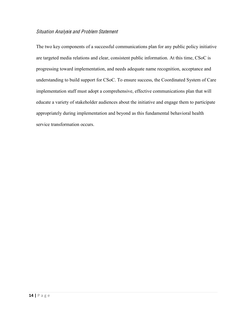# Situation Analysi<sup>s</sup> and Proble<sup>m</sup> Statement

The two key components of a successful communications plan for any public policy initiative are targeted media relations and clear, consistent public information. At this time, CSoC is progressing toward implementation, and needs adequate name recognition, acceptance and understanding to build support for CSoC. To ensure success, the Coordinated System of Care implementation staff must adopt a comprehensive, effective communications plan that will educate a variety of stakeholder audiences about the initiative and engage them to participate appropriately during implementation and beyond as this fundamental behavioral health service transformation occurs.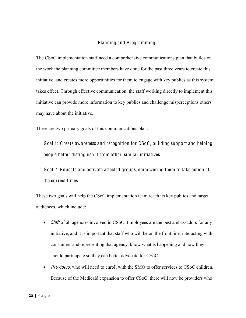# Planning and Programming

The CSoC implementation staff need a comprehensive communications plan that builds on the work the planning committee members have done for the past three years to create this initiative, and creates more opportunities for them to engage with key publics as this system takes effect. Through effective communication, the staff working directly to implement this initiative can provide more information to key publics and challenge misperceptions others may have about the initiative.

There are two primary goals of this communications plan:

Goal 1: C reate awareness and recognition for CSoC, building support and helping people better distinguish it from other, similar initiatives.

Goal 2: Educate and activate affected groups, empowering them to take action at the correct times.

These two goals will help the CSoC implementation team reach its key publics and target audiences, which include:

- $\bullet$  *Staff* of all agencies involved in CSoC. Employees are the best ambassadors for any initiative, and it is important that staff who will be on the front line, interacting with consumers and representing that agency, know what is happening and how they should participate so they can better advocate for CSoC.
- *Providers*, who will need to enroll with the SMO to offer services to CSoC children. Because of the Medicaid expansion to offer CSoC, there will now be providers who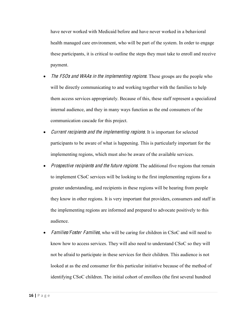have never worked with Medicaid before and have never worked in a behavioral health managed care environment, who will be part of the system. In order to engage these participants, it is critical to outline the steps they must take to enroll and receive payment.

- The FSOs and WAAs in the implementing regions. These groups are the people who will be directly communicating to and working together with the families to help them access services appropriately. Because of this, these staff represent a specialized internal audience, and they in many ways function as the end consumers of the communication cascade for this project.
- Current recipients and the implementing regions. It is important for selected participants to be aware of what is happening. This is particularly important for the implementing regions, which must also be aware of the available services.
- Prospective recipients and the future regions. The additional five regions that remain to implement CSoC services will be looking to the first implementing regions for a greater understanding, and recipients in these regions will be hearing from people they know in other regions. It is very important that providers, consumers and staff in the implementing regions are informed and prepared to advocate positively to this audience.
- Families/Foster Families, who will be caring for children in CSoC and will need to know how to access services. They will also need to understand CSoC so they will not be afraid to participate in these services for their children. This audience is not looked at as the end consumer for this particular initiative because of the method of identifying CSoC children. The initial cohort of enrollees (the first several hundred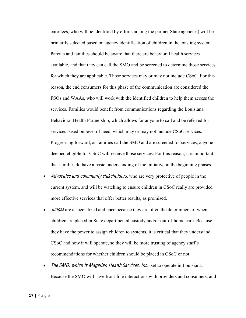enrollees, who will be identified by efforts among the partner State agencies) will be primarily selected based on agency identification of children in the existing system. Parents and families should be aware that there are behavioral health services available, and that they can call the SMO and be screened to determine those services for which they are applicable. Those services may or may not include CSoC. For this reason, the end consumers for this phase of the communication are considered the FSOs and WAAs, who will work with the identified children to help them access the services. Families would benefit from communications regarding the Louisiana Behavioral Health Partnership, which allows for anyone to call and be referred for services based on level of need, which may or may not include CSoC services. Progressing forward, as families call the SMO and are screened for services, anyone deemed eligible for CSoC will receive those services. For this reason, it is important that families do have a basic understanding of the initiative in the beginning phases.

- Advocates and community stakeholders, who are very protective of people in the current system, and will be watching to ensure children in CSoC really are provided more effective services that offer better results, as promised.
- $\bullet$  *Judges* are a specialized audience because they are often the determiners of when children are placed in State departmental custody and/or out-of-home care. Because they have the power to assign children to systems, it is critical that they understand  $CSoC$  and how it will operate, so they will be more trusting of agency staff's recommendations for whether children should be placed in CSoC or not.
- The SMO, which is Magellan Health Services, Inc., set to operate in Louisiana. Because the SMO will have front-line interactions with providers and consumers, and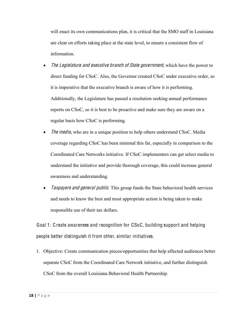will enact its own communications plan, it is critical that the SMO staff in Louisiana are clear on efforts taking place at the state level, to ensure a consistent flow of information.

- The Legislature and executive branch of State government, which have the power to direct funding for CSoC. Also, the Governor created CSoC under executive order, so it is imperative that the executive branch is aware of how it is performing. Additionally, the Legislature has passed a resolution seeking annual performance reports on CSoC, so it is best to be proactive and make sure they are aware on a regular basis how CSoC is performing.
- The media, who are in a unique position to help others understand CSoC. Media coverage regarding CSoC has been minimal this far, especially in comparison to the Coordinated Care Networks initiative. If CSoC implementers can get select media to understand the initiative and provide thorough coverage, this could increase general awareness and understanding.
- Taxpayers and general public. This group funds the State behavioral health services and needs to know the best and most appropriate action is being taken to make responsible use of their tax dollars.

Goal 1: C reate awareness and recognition for CSoC, building support and helping people better distinguish it from other, similar initiatives.

1. Objective: Create communication pieces/opportunities that help affected audiences better separate CSoC from the Coordinated Care Network initiative, and further distinguish CSoC from the overall Louisiana Behavioral Health Partnership.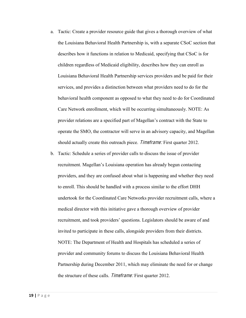- a. Tactic: Create a provider resource guide that gives a thorough overview of what the Louisiana Behavioral Health Partnership is, with a separate CSoC section that describes how it functions in relation to Medicaid, specifying that CSoC is for children regardless of Medicaid eligibility, describes how they can enroll as Louisiana Behavioral Health Partnership services providers and be paid for their services, and provides a distinction between what providers need to do for the behavioral health component as opposed to what they need to do for Coordinated Care Network enrollment, which will be occurring simultaneously. NOTE: As provider relations are a specified part of Magellan's contract with the State to operate the SMO, the contractor will serve in an advisory capacity, and Magellan should actually create this outreach piece. *Timeframe:* First quarter 2012.
- b. Tactic: Schedule a series of provider calls to discuss the issue of provider recruitment. Magellan's Louisiana operation has already begun contacting providers, and they are confused about what is happening and whether they need to enroll. This should be handled with a process similar to the effort DHH undertook for the Coordinated Care Networks provider recruitment calls, where a medical director with this initiative gave a thorough overview of provider recruitment, and took providers' questions. Legislators should be aware of and invited to participate in these calls, alongside providers from their districts. NOTE: The Department of Health and Hospitals has scheduled a series of provider and community forums to discuss the Louisiana Behavioral Health Partnership during December 2011, which may eliminate the need for or change the structure of these calls. *Timeframe:* First quarter 2012.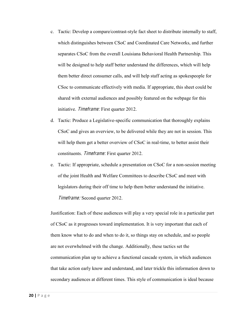- c. Tactic: Develop a compare/contrast-style fact sheet to distribute internally to staff, which distinguishes between CSoC and Coordinated Care Networks, and further separates CSoC from the overall Louisiana Behavioral Health Partnership. This will be designed to help staff better understand the differences, which will help them better direct consumer calls, and will help staff acting as spokespeople for CSoc to communicate effectively with media. If appropriate, this sheet could be shared with external audiences and possibly featured on the webpage for this initiative. *Timeframe:* First quarter 2012.
- d. Tactic: Produce a Legislative-specific communication that thoroughly explains CSoC and gives an overview, to be delivered while they are not in session. This will help them get a better overview of CSoC in real-time, to better assist their constituents. Timeframe: First quarter 2012.
- e. Tactic: If appropriate, schedule a presentation on CSoC for a non-session meeting of the joint Health and Welfare Committees to describe CSoC and meet with legislators during their off time to help them better understand the initiative. Timeframe: Second quarter 2012.

Justification: Each of these audiences will play a very special role in a particular part of CSoC as it progresses toward implementation. It is very important that each of them know what to do and when to do it, so things stay on schedule, and so people are not overwhelmed with the change. Additionally, these tactics set the communication plan up to achieve a functional cascade system, in which audiences that take action early know and understand, and later trickle this information down to secondary audiences at different times. This style of communication is ideal because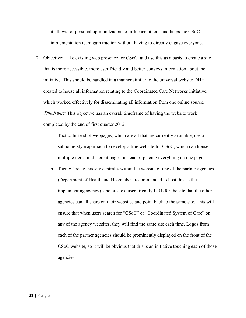it allows for personal opinion leaders to influence others, and helps the CSoC implementation team gain traction without having to directly engage everyone.

- 2. Objective: Take existing web presence for CSoC, and use this as a basis to create a site that is more accessible, more user friendly and better conveys information about the initiative. This should be handled in a manner similar to the universal website DHH created to house all information relating to the Coordinated Care Networks initiative, which worked effectively for disseminating all information from one online source. **Timetrame:** This objective has an overall time frame of having the website work completed by the end of first quarter 2012.
	- a. Tactic: Instead of webpages, which are all that are currently available, use a subhome-style approach to develop a true website for CSoC, which can house multiple items in different pages, instead of placing everything on one page.
	- b. Tactic: Create this site centrally within the website of one of the partner agencies (Department of Health and Hospitals is recommended to host this as the implementing agency), and create a user-friendly URL for the site that the other agencies can all share on their websites and point back to the same site. This will ensure that when users search for "CSoC" or "Coordinated System of Care" on any of the agency websites, they will find the same site each time. Logos from each of the partner agencies should be prominently displayed on the front of the CSoC website, so it will be obvious that this is an initiative touching each of those agencies.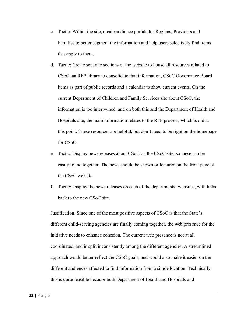- c. Tactic: Within the site, create audience portals for Regions, Providers and Families to better segment the information and help users selectively find items that apply to them.
- d. Tactic: Create separate sections of the website to house all resources related to CSoC, an RFP library to consolidate that information, CSoC Governance Board items as part of public records and a calendar to show current events. On the current Department of Children and Family Services site about CSoC, the information is too intertwined, and on both this and the Department of Health and Hospitals site, the main information relates to the RFP process, which is old at this point. These resources are helpful, but don't need to be right on the homepage for CSoC.
- e. Tactic: Display news releases about CSoC on the CSoC site, so these can be easily found together. The news should be shown or featured on the front page of the CSoC website.
- f. Tactic: Display the news releases on each of the departments' websites, with links back to the new CSoC site.

Justification: Since one of the most positive aspects of CSoC is that the State's different child-serving agencies are finally coming together, the web presence for the initiative needs to enhance cohesion. The current web presence is not at all coordinated, and is split inconsistently among the different agencies. A streamlined approach would better reflect the CSoC goals, and would also make it easier on the different audiences affected to find information from a single location. Technically, this is quite feasible because both Department of Health and Hospitals and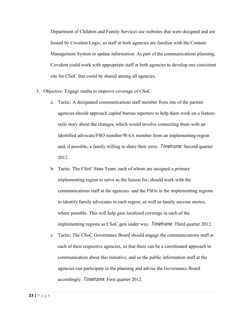Department of Children and Family Services use websites that were designed and are hosted by Covalent Logic, so staff at both agencies are familiar with the Content Management System to update information. As part of the communications planning, Covalent could work with appropriate staff at both agencies to develop one consistent site for CSoC that could be shared among all agencies.

- 3. Objective: Engage media to improve coverage of CSoC.
	- a. Tactic: A designated communications staff member from one of the partner agencies should approach capital bureau reporters to help them work on a featurestyle story about the changes, which would involve connecting them with an identified advocate/FSO member/WAA member from an implementing region and, if possible, a family willing to share their story. Timeframe: Second quarter 2012.
	- b. Tactic: The CSoC State Team, each of whom are assigned a primary implementing region to serve as the liaison for, should work with the communications staff at the agencies and the FSOs in the implementing regions to identify family advocates in each region, as well as family success stories, where possible. This will help gain localized coverage in each of the implementing regions as CSoC gets under way. Timeframe: Third quarter 2012.
	- c. Tactic: The CSoC Governance Board should engage the communications staff at each of their respective agencies, so that there can be a coordinated approach to communication about this initiative, and so the public information staff at the agencies can participate in the planning and advise the Governance Board accordingly. Timeframe: First quarter 2012.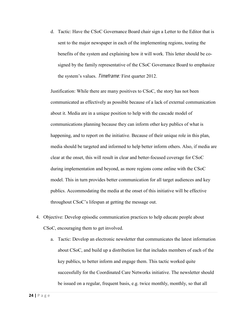d. Tactic: Have the CSoC Governance Board chair sign a Letter to the Editor that is sent to the major newspaper in each of the implementing regions, touting the benefits of the system and explaining how it will work. This letter should be cosigned by the family representative of the CSoC Governance Board to emphasize the system's values. *Timeframe:* First quarter 2012.

Justification: While there are many positives to CSoC, the story has not been communicated as effectively as possible because of a lack of external communication about it. Media are in a unique position to help with the cascade model of communications planning because they can inform other key publics of what is happening, and to report on the initiative. Because of their unique role in this plan, media should be targeted and informed to help better inform others. Also, if media are clear at the onset, this will result in clear and better-focused coverage for CSoC during implementation and beyond, as more regions come online with the CSoC model. This in turn provides better communication for all target audiences and key publics. Accommodating the media at the onset of this initiative will be effective throughout CSoC's lifespan at getting the message out.

- 4. Objective: Develop episodic communication practices to help educate people about CSoC, encouraging them to get involved.
	- a. Tactic: Develop an electronic newsletter that communicates the latest information about CSoC, and build up a distribution list that includes members of each of the key publics, to better inform and engage them. This tactic worked quite successfully for the Coordinated Care Networks initiative. The newsletter should be issued on a regular, frequent basis, e.g. twice monthly, monthly, so that all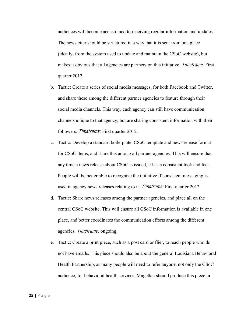audiences will become accustomed to receiving regular information and updates. The newsletter should be structured in a way that it is sent from one place (ideally, from the system used to update and maintain the CSoC website), but makes it obvious that all agencies are partners on this initiative. *Timeframe:* First quarter 2012.

- b. Tactic: Create a series of social media messages, for both Facebook and Twitter, and share these among the different partner agencies to feature through their social media channels. This way, each agency can still have communication channels unique to that agency, but are sharing consistent information with their followers. Timeframe: First quarter 2012.
- c. Tactic: Develop a standard boilerplate, CSoC template and news release format for CSoC items, and share this among all partner agencies. This will ensure that any time a news release about CSoC is issued, it has a consistent look and feel. People will be better able to recognize the initiative if consistent messaging is used in agency news releases relating to it. *Timeframe:* First quarter 2012.
- d. Tactic: Share news releases among the partner agencies, and place all on the central CSoC website. This will ensure all CSoC information is available in one place, and better coordinates the communication efforts among the different agencies. Timeframe: ongoing.
- e. Tactic: Create a print piece, such as a post card or flier, to reach people who do not have emails. This piece should also be about the general Louisiana Behavioral Health Partnership, as many people will need to refer anyone, not only the CSoC audience, for behavioral health services. Magellan should produce this piece in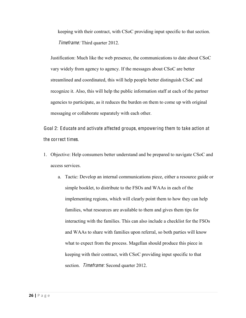keeping with their contract, with CSoC providing input specific to that section. Timeframe: Third quarter 2012.

Justification: Much like the web presence, the communications to date about CSoC vary widely from agency to agency. If the messages about CSoC are better streamlined and coordinated, this will help people better distinguish CSoC and recognize it. Also, this will help the public information staff at each of the partner agencies to participate, as it reduces the burden on them to come up with original messaging or collaborate separately with each other.

Goal 2: Educate and activate affected groups, empowering them to take action at the correct times.

- 1. Objective: Help consumers better understand and be prepared to navigate CSoC and access services.
	- a. Tactic: Develop an internal communications piece, either a resource guide or simple booklet, to distribute to the FSOs and WAAs in each of the implementing regions, which will clearly point them to how they can help families, what resources are available to them and gives them tips for interacting with the families. This can also include a checklist for the FSOs and WAAs to share with families upon referral, so both parties will know what to expect from the process. Magellan should produce this piece in keeping with their contract, with CSoC providing input specific to that section. *Timeframe:* Second quarter 2012.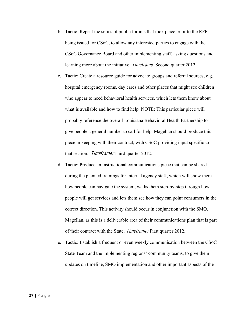- b. Tactic: Repeat the series of public forums that took place prior to the RFP being issued for CSoC, to allow any interested parties to engage with the CSoC Governance Board and other implementing staff, asking questions and learning more about the initiative. Timeframe: Second quarter 2012.
- c. Tactic: Create a resource guide for advocate groups and referral sources, e.g. hospital emergency rooms, day cares and other places that might see children who appear to need behavioral health services, which lets them know about what is available and how to find help. NOTE: This particular piece will probably reference the overall Louisiana Behavioral Health Partnership to give people a general number to call for help. Magellan should produce this piece in keeping with their contract, with CSoC providing input specific to that section. Timeframe: Third quarter 2012.
- d. Tactic: Produce an instructional communications piece that can be shared during the planned trainings for internal agency staff, which will show them how people can navigate the system, walks them step-by-step through how people will get services and lets them see how they can point consumers in the correct direction. This activity should occur in conjunction with the SMO, Magellan, as this is a deliverable area of their communications plan that is part of their contract with the State. Timeframe: First quarter 2012.
- e. Tactic: Establish a frequent or even weekly communication between the CSoC State Team and the implementing regions' community teams, to give them updates on timeline, SMO implementation and other important aspects of the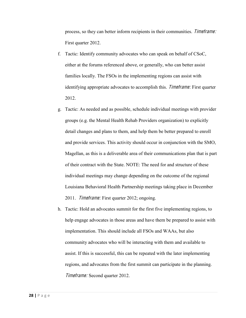process, so they can better inform recipients in their communities. Timeframe: First quarter 2012.

- f. Tactic: Identify community advocates who can speak on behalf of CSoC, either at the forums referenced above, or generally, who can better assist families locally. The FSOs in the implementing regions can assist with identifying appropriate advocates to accomplish this. Timeframe: First quarter 2012.
- g. Tactic: As needed and as possible, schedule individual meetings with provider groups (e.g. the Mental Health Rehab Providers organization) to explicitly detail changes and plans to them, and help them be better prepared to enroll and provide services. This activity should occur in conjunction with the SMO, Magellan, as this is a deliverable area of their communications plan that is part of their contract with the State. NOTE: The need for and structure of these individual meetings may change depending on the outcome of the regional Louisiana Behavioral Health Partnership meetings taking place in December 2011. *Timeframe:* First quarter 2012; ongoing.
- h. Tactic: Hold an advocates summit for the first five implementing regions, to help engage advocates in those areas and have them be prepared to assist with implementation. This should include all FSOs and WAAs, but also community advocates who will be interacting with them and available to assist. If this is successful, this can be repeated with the later implementing regions, and advocates from the first summit can participate in the planning. Timeframe: Second quarter 2012.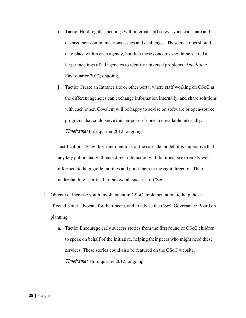- i. Tactic: Hold regular meetings with internal staff so everyone can share and discuss their communications issues and challenges. These meetings should take place within each agency, but then these concerns should be shared at larger meetings of all agencies to identify universal problems. Timeframe: First quarter 2012; ongoing.
- j. Tactic: Create an Intranet site or other portal where staff working on CSoC at the different agencies can exchange information internally, and share solutions with each other. Covalent will be happy to advise on software or open-source programs that could serve this purpose, if none are available internally. Timeframe: First quarter 2012; ongoing.

Justification: As with earlier mentions of the cascade model, it is imperative that any key public that will have direct interaction with families be extremely well informed, to help guide families and point them in the right direction. Their understanding is critical to the overall success of CSoC.

- 2. Objective: Increase youth involvement in CSoC implementation, to help those affected better advocate for their peers, and to advise the CSoC Governance Board on planning.
	- a. Tactic: Encourage early success stories from the first round of CSoC children to speak on behalf of the initiative, helping their peers who might need these services. These stories could also be featured on the CSoC website. Timeframe: Third quarter 2012; ongoing.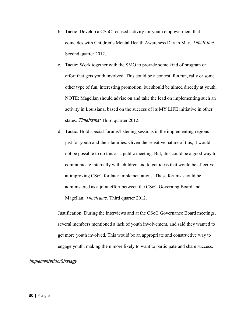- b. Tactic: Develop a CSoC focused activity for youth empowerment that coincides with Children's Mental Health Awareness Day in May. Timeframe: Second quarter 2012.
- c. Tactic: Work together with the SMO to provide some kind of program or effort that gets youth involved. This could be a contest, fun run, rally or some other type of fun, interesting promotion, but should be aimed directly at youth. NOTE: Magellan should advise on and take the lead on implementing such an activity in Louisiana, based on the success of its MY LIFE initiative in other states. Timeframe: Third quarter 2012.
- d. Tactic: Hold special forums/listening sessions in the implementing regions just for youth and their families. Given the sensitive nature of this, it would not be possible to do this as a public meeting. But, this could be a good way to communicate internally with children and to get ideas that would be effective at improving CSoC for later implementations. These forums should be administered as a joint effort between the CSoC Governing Board and Magellan. *Timeframe:* Third quarter 2012.

Justification: During the interviews and at the CSoC Governance Board meetings, several members mentioned a lack of youth involvement, and said they wanted to get more youth involved. This would be an appropriate and constructive way to engage youth, making them more likely to want to participate and share success.

### Implementation/Strategy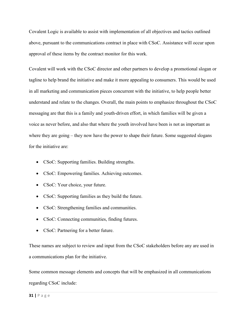Covalent Logic is available to assist with implementation of all objectives and tactics outlined above, pursuant to the communications contract in place with CSoC. Assistance will occur upon approval of these items by the contract monitor for this work.

Covalent will work with the CSoC director and other partners to develop a promotional slogan or tagline to help brand the initiative and make it more appealing to consumers. This would be used in all marketing and communication pieces concurrent with the initiative, to help people better understand and relate to the changes. Overall, the main points to emphasize throughout the CSoC messaging are that this is a family and youth-driven effort, in which families will be given a voice as never before, and also that where the youth involved have been is not as important as where they are going  $-$  they now have the power to shape their future. Some suggested slogans for the initiative are:

- CSoC: Supporting families. Building strengths.
- CSoC: Empowering families. Achieving outcomes.
- CSoC: Your choice, your future.
- CSoC: Supporting families as they build the future.
- CSoC: Strengthening families and communities.
- CSoC: Connecting communities, finding futures.
- CSoC: Partnering for a better future.

These names are subject to review and input from the CSoC stakeholders before any are used in a communications plan for the initiative.

Some common message elements and concepts that will be emphasized in all communications regarding CSoC include: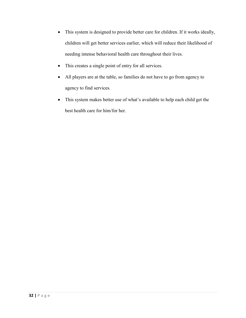- This system is designed to provide better care for children. If it works ideally, children will get better services earlier, which will reduce their likelihood of needing intense behavioral health care throughout their lives.
- This creates a single point of entry for all services.
- All players are at the table, so families do not have to go from agency to agency to find services.
- This system makes better use of what's available to help each child get the best health care for him/for her.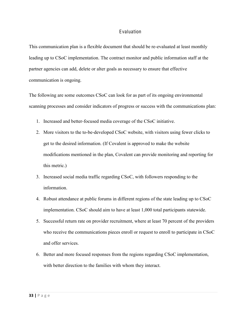## Evaluation

This communication plan is a flexible document that should be re-evaluated at least monthly leading up to CSoC implementation. The contract monitor and public information staff at the partner agencies can add, delete or alter goals as necessary to ensure that effective communication is ongoing.

The following are some outcomes CSoC can look for as part of its ongoing environmental scanning processes and consider indicators of progress or success with the communications plan:

- 1. Increased and better-focused media coverage of the CSoC initiative.
- 2. More visitors to the to-be-developed CSoC website, with visitors using fewer clicks to get to the desired information. (If Covalent is approved to make the website modifications mentioned in the plan, Covalent can provide monitoring and reporting for this metric.)
- 3. Increased social media traffic regarding CSoC, with followers responding to the information.
- 4. Robust attendance at public forums in different regions of the state leading up to CSoC implementation. CSoC should aim to have at least 1,000 total participants statewide.
- 5. Successful return rate on provider recruitment, where at least 70 percent of the providers who receive the communications pieces enroll or request to enroll to participate in CSoC and offer services.
- 6. Better and more focused responses from the regions regarding CSoC implementation, with better direction to the families with whom they interact.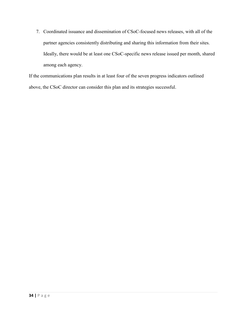7. Coordinated issuance and dissemination of CSoC-focused news releases, with all of the partner agencies consistently distributing and sharing this information from their sites. Ideally, there would be at least one CSoC-specific news release issued per month, shared among each agency.

If the communications plan results in at least four of the seven progress indicators outlined above, the CSoC director can consider this plan and its strategies successful.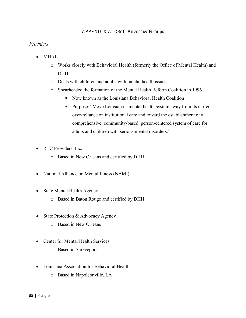# APPENDIX A: CSoC Advocacy Groups

# **Providers**

- $\bullet$  MHAL
	- o Works closely with Behavioral Health (formerly the Office of Mental Health) and **DHH**
	- o Deals with children and adults with mental health issues
	- o Spearheaded the formation of the Mental Health Reform Coalition in 1996
		- Now known as the Louisiana Behavioral Health Coalition
		- **•** Purpose: "Move Louisiana's mental health system away from its current over-reliance on institutional care and toward the establishment of a comprehensive, community-based, person-centered system of care for adults and children with serious mental disorders."
- RTC Providers, Inc.
	- o Based in New Orleans and certified by DHH
- National Alliance on Mental Illness (NAMI)
- State Mental Health Agency
	- o Based in Baton Rouge and certified by DHH
- State Protection  $&$  Advocacy Agency
	- o Based in New Orleans
- Center for Mental Health Services
	- o Based in Shreveport
- Louisiana Association for Behavioral Health
	- o Based in Napoleonville, LA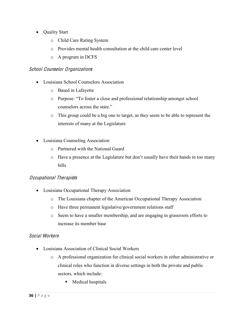- Quality Start
	- o Child Care Rating System
	- o Provides mental health consultation at the child care center level
	- o A program in DCFS

# School Counselor Organization<sup>s</sup>

- Louisiana School Counselors Association
	- o Based in Lafayette
	- o Purpose: "To foster a close and professional relationship amongst school counselors across the state."
	- o This group could be a big one to target, as they seem to be able to represent the interests of many at the Legislature
- Louisiana Counseling Association
	- o Partnered with the National Guard
	- $\circ$  Have a presence at the Legislature but don't usually have their hands in too many bills

# Occupational Therapists

- Louisiana Occupational Therapy Association
	- o The Louisiana chapter of the American Occupational Therapy Association
	- o Have three permanent legislative/government relations staff
	- o Seem to have a smaller membership, and are engaging in grassroots efforts to increase its member base

# Social Workers

- Louisiana Association of Clinical Social Workers
	- o A professional organization for clinical social workers in either administrative or clinical roles who function in diverse settings in both the private and public sectors, which include:
		- **Medical hospitals**